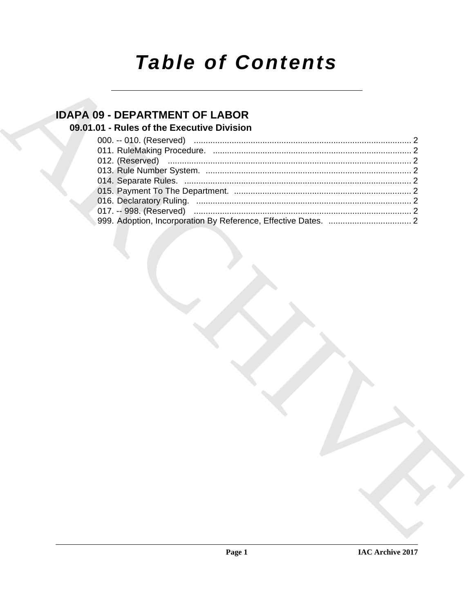# **Table of Contents**

# **IDAPA 09 - DEPARTMENT OF LABOR**

## 09.01.01 - Rules of the Executive Division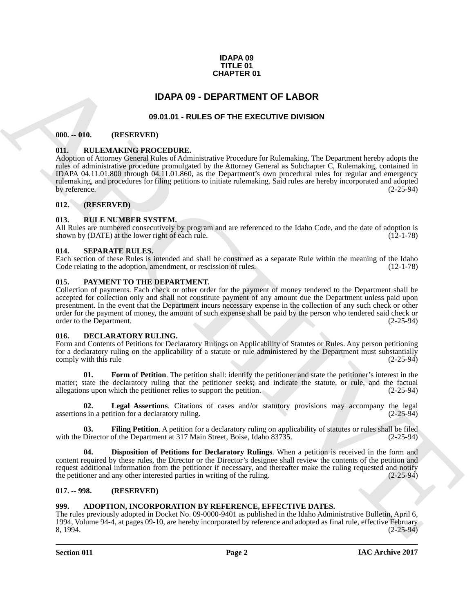#### **IDAPA 09 TITLE 01 CHAPTER 01**

### **IDAPA 09 - DEPARTMENT OF LABOR**

### **09.01.01 - RULES OF THE EXECUTIVE DIVISION**

#### <span id="page-1-2"></span><span id="page-1-1"></span><span id="page-1-0"></span>**000. -- 010. (RESERVED)**

#### <span id="page-1-3"></span>**011. RULEMAKING PROCEDURE.**

**CHAPTER 01**<br> **CHAPTER 01**<br> **CHAPTER 2018 AND ARCHIVE DUES OF THE EXECUTIVE DIVISION CONSULAR CHAPTER 2018 AND CHAPTER 2018 AND CHAPTER 2018 AND CHAPTER 2018 AND CHAPTER 2018 AND CHAPTER 2018 AND CHAPTER 2018 AND CHAPTER** Adoption of Attorney General Rules of Administrative Procedure for Rulemaking. The Department hereby adopts the rules of administrative procedure promulgated by the Attorney General as Subchapter C, Rulemaking, contained in IDAPA 04.11.01.800 through 04.11.01.860, as the Department's own procedural rules for regular and emergency rulemaking, and procedures for filing petitions to initiate rulemaking. Said rules are hereby incorporated and adopted by reference. (2-25-94)

#### <span id="page-1-4"></span>**012. (RESERVED)**

#### <span id="page-1-5"></span>**013. RULE NUMBER SYSTEM.**

All Rules are numbered consecutively by program and are referenced to the Idaho Code, and the date of adoption is shown by (DATE) at the lower right of each rule. (12-1-78) shown by (DATE) at the lower right of each rule.

#### <span id="page-1-6"></span>**014. SEPARATE RULES.**

Each section of these Rules is intended and shall be construed as a separate Rule within the meaning of the Idaho Code relating to the adoption, amendment, or rescission of rules. (12-1-78) Code relating to the adoption, amendment, or rescission of rules.

#### <span id="page-1-16"></span><span id="page-1-7"></span>**015. PAYMENT TO THE DEPARTMENT.**

Collection of payments. Each check or other order for the payment of money tendered to the Department shall be accepted for collection only and shall not constitute payment of any amount due the Department unless paid upon presentment. In the event that the Department incurs necessary expense in the collection of any such check or other order for the payment of money, the amount of such expense shall be paid by the person who tendered said check or order to the Department. (2-25-94)

#### <span id="page-1-11"></span><span id="page-1-8"></span>**016. DECLARATORY RULING.**

Form and Contents of Petitions for Declaratory Rulings on Applicability of Statutes or Rules. Any person petitioning for a declaratory ruling on the applicability of a statute or rule administered by the Department must substantially comply with this rule (2-25-94) comply with this rule

<span id="page-1-14"></span>**01. Form of Petition**. The petition shall: identify the petitioner and state the petitioner's interest in the matter; state the declaratory ruling that the petitioner seeks; and indicate the statute, or rule, and the factual allegations upon which the petitioner relies to support the petition. (2-25-94) allegations upon which the petitioner relies to support the petition.

<span id="page-1-15"></span>**02. Legal Assertions**. Citations of cases and/or statutory provisions may accompany the legal assertions in a petition for a declaratory ruling. (2-25-94)

<span id="page-1-13"></span>**03. Filing Petition**. A petition for a declaratory ruling on applicability of statutes or rules shall be filed with the Director of the Department at 317 Main Street, Boise, Idaho 83735. (2-25-94)

<span id="page-1-12"></span>**04. Disposition of Petitions for Declaratory Rulings**. When a petition is received in the form and content required by these rules, the Director or the Director's designee shall review the contents of the petition and request additional information from the petitioner if necessary, and thereafter make the ruling requested and notify<br>the petitioner and any other interested parties in writing of the ruling. (2-25-94) the petitioner and any other interested parties in writing of the ruling.

#### <span id="page-1-9"></span>**017. -- 998. (RESERVED)**

#### <span id="page-1-10"></span>**999. ADOPTION, INCORPORATION BY REFERENCE, EFFECTIVE DATES.**

The rules previously adopted in Docket No. 09-0000-9401 as published in the Idaho Administrative Bulletin, April 6, 1994, Volume 94-4, at pages 09-10, are hereby incorporated by reference and adopted as final rule, effective February 8, 1994. (2-25-94)